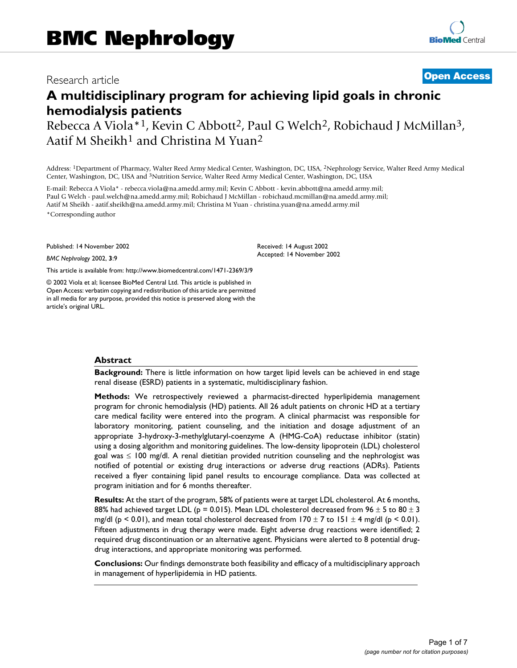# BMC Nephrology 2002, 3 <sup>x</sup> **[Open Access](http://www.biomedcentral.com/info/about/charter/)** Research article

# **A multidisciplinary program for achieving lipid goals in chronic hemodialysis patients**

Rebecca A Viola\*1, Kevin C Abbott2, Paul G Welch2, Robichaud J McMillan3, Aatif M Sheikh<sup>1</sup> and Christina M Yuan<sup>2</sup>

Address: 1Department of Pharmacy, Walter Reed Army Medical Center, Washington, DC, USA, 2Nephrology Service, Walter Reed Army Medical Center, Washington, DC, USA and 3Nutrition Service, Walter Reed Army Medical Center, Washington, DC, USA

> Received: 14 August 2002 Accepted: 14 November 2002

E-mail: Rebecca A Viola\* - rebecca.viola@na.amedd.army.mil; Kevin C Abbott - kevin.abbott@na.amedd.army.mil; Paul G Welch - paul.welch@na.amedd.army.mil; Robichaud J McMillan - robichaud.mcmillan@na.amedd.army.mil; Aatif M Sheikh - aatif.sheikh@na.amedd.army.mil; Christina M Yuan - christina.yuan@na.amedd.army.mil \*Corresponding author

Published: 14 November 2002

*BMC Nephrology* 2002, **3**:9

[This article is available from: http://www.biomedcentral.com/1471-2369/3/9](http://www.biomedcentral.com/1471-2369/3/9)

© 2002 Viola et al; licensee BioMed Central Ltd. This article is published in Open Access: verbatim copying and redistribution of this article are permitted in all media for any purpose, provided this notice is preserved along with the article's original URL.

### **Abstract**

**Background:** There is little information on how target lipid levels can be achieved in end stage renal disease (ESRD) patients in a systematic, multidisciplinary fashion.

**Methods:** We retrospectively reviewed a pharmacist-directed hyperlipidemia management program for chronic hemodialysis (HD) patients. All 26 adult patients on chronic HD at a tertiary care medical facility were entered into the program. A clinical pharmacist was responsible for laboratory monitoring, patient counseling, and the initiation and dosage adjustment of an appropriate 3-hydroxy-3-methylglutaryl-coenzyme A (HMG-CoA) reductase inhibitor (statin) using a dosing algorithm and monitoring guidelines. The low-density lipoprotein (LDL) cholesterol goal was  $\leq$  100 mg/dl. A renal dietitian provided nutrition counseling and the nephrologist was notified of potential or existing drug interactions or adverse drug reactions (ADRs). Patients received a flyer containing lipid panel results to encourage compliance. Data was collected at program initiation and for 6 months thereafter.

**Results:** At the start of the program, 58% of patients were at target LDL cholesterol. At 6 months, 88% had achieved target LDL (p = 0.015). Mean LDL cholesterol decreased from 96  $\pm$  5 to 80  $\pm$  3 mg/dl ( $p < 0.01$ ), and mean total cholesterol decreased from 170  $\pm$  7 to 151  $\pm$  4 mg/dl ( $p < 0.01$ ). Fifteen adjustments in drug therapy were made. Eight adverse drug reactions were identified; 2 required drug discontinuation or an alternative agent. Physicians were alerted to 8 potential drugdrug interactions, and appropriate monitoring was performed.

**Conclusions:** Our findings demonstrate both feasibility and efficacy of a multidisciplinary approach in management of hyperlipidemia in HD patients.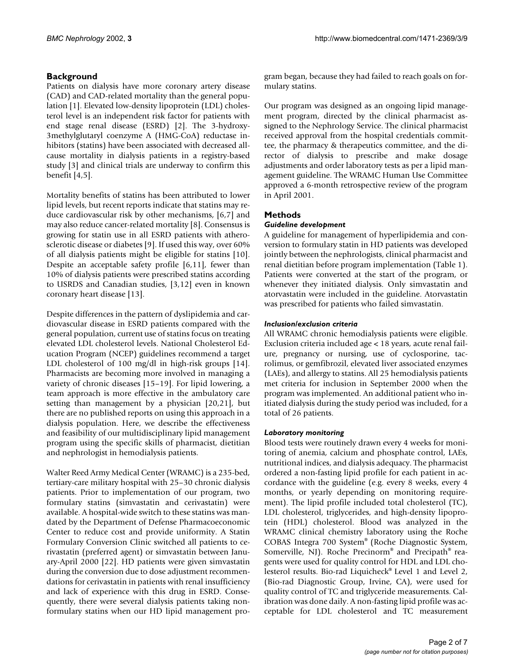# **Background**

Patients on dialysis have more coronary artery disease (CAD) and CAD-related mortality than the general population [1]. Elevated low-density lipoprotein (LDL) cholesterol level is an independent risk factor for patients with end stage renal disease (ESRD) [2]. The 3-hydroxy-3methylglutaryl coenzyme A (HMG-CoA) reductase inhibitors (statins) have been associated with decreased allcause mortality in dialysis patients in a registry-based study [3] and clinical trials are underway to confirm this benefit [4,5].

Mortality benefits of statins has been attributed to lower lipid levels, but recent reports indicate that statins may reduce cardiovascular risk by other mechanisms, [6,7] and may also reduce cancer-related mortality [8]. Consensus is growing for statin use in all ESRD patients with atherosclerotic disease or diabetes [9]. If used this way, over 60% of all dialysis patients might be eligible for statins [10]. Despite an acceptable safety profile [6,11], fewer than 10% of dialysis patients were prescribed statins according to USRDS and Canadian studies, [3,12] even in known coronary heart disease [13].

Despite differences in the pattern of dyslipidemia and cardiovascular disease in ESRD patients compared with the general population, current use of statins focus on treating elevated LDL cholesterol levels. National Cholesterol Education Program (NCEP) guidelines recommend a target LDL cholesterol of 100 mg/dl in high-risk groups [14]. Pharmacists are becoming more involved in managing a variety of chronic diseases [15–19]. For lipid lowering, a team approach is more effective in the ambulatory care setting than management by a physician [20,21], but there are no published reports on using this approach in a dialysis population. Here, we describe the effectiveness and feasibility of our multidisciplinary lipid management program using the specific skills of pharmacist, dietitian and nephrologist in hemodialysis patients.

Walter Reed Army Medical Center (WRAMC) is a 235-bed, tertiary-care military hospital with 25–30 chronic dialysis patients. Prior to implementation of our program, two formulary statins (simvastatin and cerivastatin) were available. A hospital-wide switch to these statins was mandated by the Department of Defense Pharmacoeconomic Center to reduce cost and provide uniformity. A Statin Formulary Conversion Clinic switched all patients to cerivastatin (preferred agent) or simvastatin between January-April 2000 [22]. HD patients were given simvastatin during the conversion due to dose adjustment recommendations for cerivastatin in patients with renal insufficiency and lack of experience with this drug in ESRD. Consequently, there were several dialysis patients taking nonformulary statins when our HD lipid management program began, because they had failed to reach goals on formulary statins.

Our program was designed as an ongoing lipid management program, directed by the clinical pharmacist assigned to the Nephrology Service. The clinical pharmacist received approval from the hospital credentials committee, the pharmacy & therapeutics committee, and the director of dialysis to prescribe and make dosage adjustments and order laboratory tests as per a lipid management guideline. The WRAMC Human Use Committee approved a 6-month retrospective review of the program in April 2001.

# **Methods**

# *Guideline development*

A guideline for management of hyperlipidemia and conversion to formulary statin in HD patients was developed jointly between the nephrologists, clinical pharmacist and renal dietitian before program implementation (Table 1). Patients were converted at the start of the program, or whenever they initiated dialysis. Only simvastatin and atorvastatin were included in the guideline. Atorvastatin was prescribed for patients who failed simvastatin.

# *Inclusion/exclusion criteria*

All WRAMC chronic hemodialysis patients were eligible. Exclusion criteria included age < 18 years, acute renal failure, pregnancy or nursing, use of cyclosporine, tacrolimus, or gemfibrozil, elevated liver associated enzymes (LAEs), and allergy to statins. All 25 hemodialysis patients met criteria for inclusion in September 2000 when the program was implemented. An additional patient who initiated dialysis during the study period was included, for a total of 26 patients.

# *Laboratory monitoring*

Blood tests were routinely drawn every 4 weeks for monitoring of anemia, calcium and phosphate control, LAEs, nutritional indices, and dialysis adequacy. The pharmacist ordered a non-fasting lipid profile for each patient in accordance with the guideline (e.g. every 8 weeks, every 4 months, or yearly depending on monitoring requirement). The lipid profile included total cholesterol (TC), LDL cholesterol, triglycerides, and high-density lipoprotein (HDL) cholesterol. Blood was analyzed in the WRAMC clinical chemistry laboratory using the Roche COBAS Integra 700 System® (Roche Diagnostic System, Somerville, NJ). Roche Precinorm® and Precipath® reagents were used for quality control for HDL and LDL cholesterol results. Bio-rad Liquicheck® Level 1 and Level 2, (Bio-rad Diagnostic Group, Irvine, CA), were used for quality control of TC and triglyceride measurements. Calibration was done daily. A non-fasting lipid profile was acceptable for LDL cholesterol and TC measurement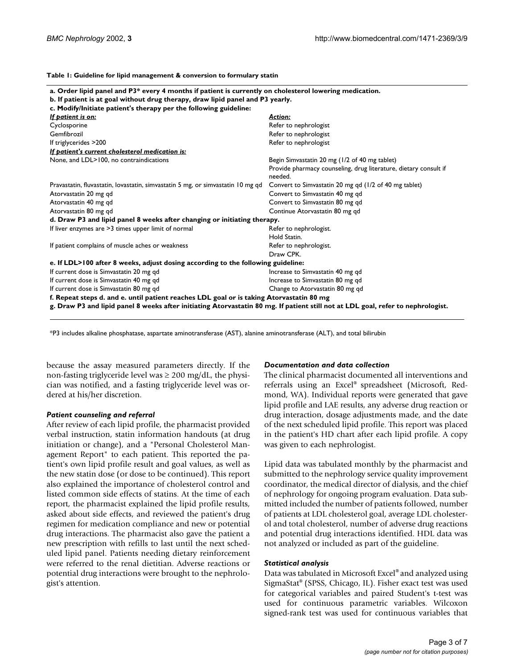**Table 1: Guideline for lipid management & conversion to formulary statin**

| a. Order lipid panel and P3* every 4 months if patient is currently on cholesterol lowering medication.                          |                                                                             |  |
|----------------------------------------------------------------------------------------------------------------------------------|-----------------------------------------------------------------------------|--|
| b. If patient is at goal without drug therapy, draw lipid panel and P3 yearly.                                                   |                                                                             |  |
| c. Modify/Initiate patient's therapy per the following guideline:<br>If patient is on:                                           | Action:                                                                     |  |
| Cyclosporine                                                                                                                     | Refer to nephrologist                                                       |  |
| Gemfibrozil                                                                                                                      |                                                                             |  |
|                                                                                                                                  | Refer to nephrologist                                                       |  |
| If triglycerides >200                                                                                                            | Refer to nephrologist                                                       |  |
| If patient's current cholesterol medication is:                                                                                  |                                                                             |  |
| None, and LDL>100, no contraindications                                                                                          | Begin Simvastatin 20 mg (1/2 of 40 mg tablet)                               |  |
|                                                                                                                                  | Provide pharmacy counseling, drug literature, dietary consult if<br>needed. |  |
| Pravastatin, fluvastatin, lovastatin, simvastatin 5 mg, or simvastatin 10 mg qd                                                  | Convert to Simvastatin 20 mg qd (1/2 of 40 mg tablet)                       |  |
| Atorvastatin 20 mg qd                                                                                                            | Convert to Simvastatin 40 mg qd                                             |  |
| Atorvastatin 40 mg qd                                                                                                            | Convert to Simvastatin 80 mg qd                                             |  |
| Atorvastatin 80 mg qd                                                                                                            | Continue Atorvastatin 80 mg qd                                              |  |
| d. Draw P3 and lipid panel 8 weeks after changing or initiating therapy.                                                         |                                                                             |  |
| If liver enzymes are > 3 times upper limit of normal                                                                             | Refer to nephrologist.                                                      |  |
|                                                                                                                                  | Hold Statin.                                                                |  |
| If patient complains of muscle aches or weakness                                                                                 | Refer to nephrologist.                                                      |  |
|                                                                                                                                  | Draw CPK.                                                                   |  |
| e. If LDL>100 after 8 weeks, adjust dosing according to the following guideline:                                                 |                                                                             |  |
| If current dose is Simvastatin 20 mg qd                                                                                          | Increase to Simvastatin 40 mg qd                                            |  |
| If current dose is Simvastatin 40 mg qd                                                                                          | Increase to Simvastatin 80 mg qd                                            |  |
| If current dose is Simvastatin 80 mg qd                                                                                          | Change to Atorvastatin 80 mg qd                                             |  |
| f. Repeat steps d. and e. until patient reaches LDL goal or is taking Atorvastatin 80 mg                                         |                                                                             |  |
| g. Draw P3 and lipid panel 8 weeks after initiating Atorvastatin 80 mg. If patient still not at LDL goal, refer to nephrologist. |                                                                             |  |

\*P3 includes alkaline phosphatase, aspartate aminotransferase (AST), alanine aminotransferase (ALT), and total bilirubin

because the assay measured parameters directly. If the non-fasting triglyceride level was  $\geq 200$  mg/dL, the physician was notified, and a fasting triglyceride level was ordered at his/her discretion.

### *Patient counseling and referral*

After review of each lipid profile, the pharmacist provided verbal instruction, statin information handouts (at drug initiation or change), and a "Personal Cholesterol Management Report" to each patient. This reported the patient's own lipid profile result and goal values, as well as the new statin dose (or dose to be continued). This report also explained the importance of cholesterol control and listed common side effects of statins. At the time of each report, the pharmacist explained the lipid profile results, asked about side effects, and reviewed the patient's drug regimen for medication compliance and new or potential drug interactions. The pharmacist also gave the patient a new prescription with refills to last until the next scheduled lipid panel. Patients needing dietary reinforcement were referred to the renal dietitian. Adverse reactions or potential drug interactions were brought to the nephrologist's attention.

### *Documentation and data collection*

The clinical pharmacist documented all interventions and referrals using an Excel® spreadsheet (Microsoft, Redmond, WA). Individual reports were generated that gave lipid profile and LAE results, any adverse drug reaction or drug interaction, dosage adjustments made, and the date of the next scheduled lipid profile. This report was placed in the patient's HD chart after each lipid profile. A copy was given to each nephrologist.

Lipid data was tabulated monthly by the pharmacist and submitted to the nephrology service quality improvement coordinator, the medical director of dialysis, and the chief of nephrology for ongoing program evaluation. Data submitted included the number of patients followed, number of patients at LDL cholesterol goal, average LDL cholesterol and total cholesterol, number of adverse drug reactions and potential drug interactions identified. HDL data was not analyzed or included as part of the guideline.

### *Statistical analysis*

Data was tabulated in Microsoft Excel® and analyzed using SigmaStat® (SPSS, Chicago, IL). Fisher exact test was used for categorical variables and paired Student's t-test was used for continuous parametric variables. Wilcoxon signed-rank test was used for continuous variables that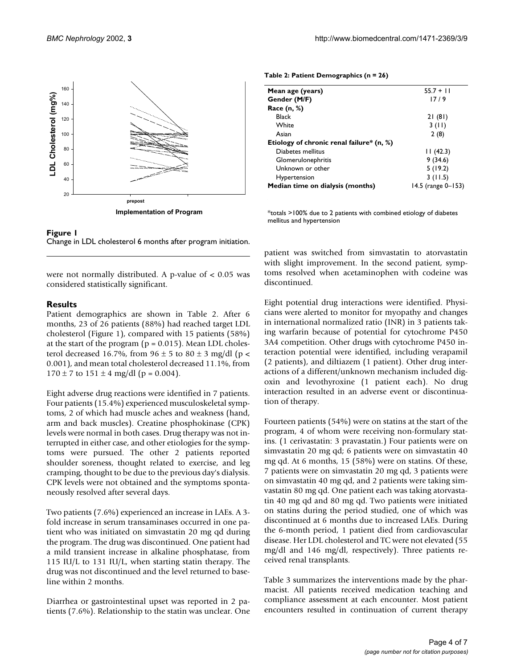

### **Figure 1** Change in LDL cholesterol 6 months after program initiation.

were not normally distributed. A p-value of < 0.05 was considered statistically significant.

# **Results**

Patient demographics are shown in Table 2. After 6 months, 23 of 26 patients (88%) had reached target LDL cholesterol (Figure 1), compared with 15 patients (58%) at the start of the program ( $p = 0.015$ ). Mean LDL cholesterol decreased 16.7%, from  $96 \pm 5$  to  $80 \pm 3$  mg/dl (p < 0.001), and mean total cholesterol decreased 11.1%, from  $170 \pm 7$  to  $151 \pm 4$  mg/dl (p = 0.004).

Eight adverse drug reactions were identified in 7 patients. Four patients (15.4%) experienced musculoskeletal symptoms, 2 of which had muscle aches and weakness (hand, arm and back muscles). Creatine phosphokinase (CPK) levels were normal in both cases. Drug therapy was not interrupted in either case, and other etiologies for the symptoms were pursued. The other 2 patients reported shoulder soreness, thought related to exercise, and leg cramping, thought to be due to the previous day's dialysis. CPK levels were not obtained and the symptoms spontaneously resolved after several days.

Two patients (7.6%) experienced an increase in LAEs. A 3 fold increase in serum transaminases occurred in one patient who was initiated on simvastatin 20 mg qd during the program. The drug was discontinued. One patient had a mild transient increase in alkaline phosphatase, from 115 IU/L to 131 IU/L, when starting statin therapy. The drug was not discontinued and the level returned to baseline within 2 months.

Diarrhea or gastrointestinal upset was reported in 2 patients (7.6%). Relationship to the statin was unclear. One

**Table 2: Patient Demographics (n = 26)**

| Mean age (years)                            | $55.7 + 11$        |
|---------------------------------------------|--------------------|
| Gender (M/F)                                | 17/9               |
| Race (n, %)                                 |                    |
| <b>Black</b>                                | 21(81)             |
| White                                       | 3(11)              |
| Asian                                       | 2(8)               |
| Etiology of chronic renal failure* $(n, %)$ |                    |
| Diabetes mellitus                           | 11(42.3)           |
| Glomerulonephritis                          | 9(34.6)            |
| Unknown or other                            | 5(19.2)            |
| <b>Hypertension</b>                         | 3(11.5)            |
| Median time on dialysis (months)            | 14.5 (range 0-153) |
|                                             |                    |

\*totals >100% due to 2 patients with combined etiology of diabetes mellitus and hypertension

patient was switched from simvastatin to atorvastatin with slight improvement. In the second patient, symptoms resolved when acetaminophen with codeine was discontinued.

Eight potential drug interactions were identified. Physicians were alerted to monitor for myopathy and changes in international normalized ratio (INR) in 3 patients taking warfarin because of potential for cytochrome P450 3A4 competition. Other drugs with cytochrome P450 interaction potential were identified, including verapamil (2 patients), and diltiazem (1 patient). Other drug interactions of a different/unknown mechanism included digoxin and levothyroxine (1 patient each). No drug interaction resulted in an adverse event or discontinuation of therapy.

Fourteen patients (54%) were on statins at the start of the program, 4 of whom were receiving non-formulary statins. (1 cerivastatin: 3 pravastatin.) Four patients were on simvastatin 20 mg qd; 6 patients were on simvastatin 40 mg qd. At 6 months, 15 (58%) were on statins. Of these, 7 patients were on simvastatin 20 mg qd, 3 patients were on simvastatin 40 mg qd, and 2 patients were taking simvastatin 80 mg qd. One patient each was taking atorvastatin 40 mg qd and 80 mg qd. Two patients were initiated on statins during the period studied, one of which was discontinued at 6 months due to increased LAEs. During the 6-month period, 1 patient died from cardiovascular disease. Her LDL cholesterol and TC were not elevated (55 mg/dl and 146 mg/dl, respectively). Three patients received renal transplants.

Table 3 summarizes the interventions made by the pharmacist. All patients received medication teaching and compliance assessment at each encounter. Most patient encounters resulted in continuation of current therapy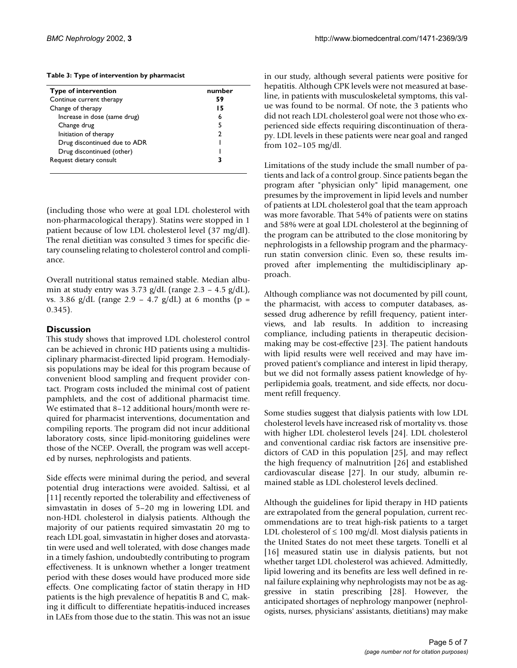#### **Table 3: Type of intervention by pharmacist**

| <b>Type of intervention</b>  | number |
|------------------------------|--------|
| Continue current therapy     | 59     |
| Change of therapy            | 15     |
| Increase in dose (same drug) | 6      |
| Change drug                  | 5      |
| Initiation of therapy        | 2      |
| Drug discontinued due to ADR |        |
| Drug discontinued (other)    |        |
| Request dietary consult      | 7      |
|                              |        |

(including those who were at goal LDL cholesterol with non-pharmacological therapy). Statins were stopped in 1 patient because of low LDL cholesterol level (37 mg/dl). The renal dietitian was consulted 3 times for specific dietary counseling relating to cholesterol control and compliance.

Overall nutritional status remained stable. Median albumin at study entry was  $3.73$  g/dL (range  $2.3 - 4.5$  g/dL), vs. 3.86 g/dL (range 2.9 – 4.7 g/dL) at 6 months ( $p =$ 0.345).

# **Discussion**

This study shows that improved LDL cholesterol control can be achieved in chronic HD patients using a multidisciplinary pharmacist-directed lipid program. Hemodialysis populations may be ideal for this program because of convenient blood sampling and frequent provider contact. Program costs included the minimal cost of patient pamphlets, and the cost of additional pharmacist time. We estimated that 8–12 additional hours/month were required for pharmacist interventions, documentation and compiling reports. The program did not incur additional laboratory costs, since lipid-monitoring guidelines were those of the NCEP. Overall, the program was well accepted by nurses, nephrologists and patients.

Side effects were minimal during the period, and several potential drug interactions were avoided. Saltissi, et al [11] recently reported the tolerability and effectiveness of simvastatin in doses of 5–20 mg in lowering LDL and non-HDL cholesterol in dialysis patients. Although the majority of our patients required simvastatin 20 mg to reach LDL goal, simvastatin in higher doses and atorvastatin were used and well tolerated, with dose changes made in a timely fashion, undoubtedly contributing to program effectiveness. It is unknown whether a longer treatment period with these doses would have produced more side effects. One complicating factor of statin therapy in HD patients is the high prevalence of hepatitis B and C, making it difficult to differentiate hepatitis-induced increases in LAEs from those due to the statin. This was not an issue

in our study, although several patients were positive for hepatitis. Although CPK levels were not measured at baseline, in patients with musculoskeletal symptoms, this value was found to be normal. Of note, the 3 patients who did not reach LDL cholesterol goal were not those who experienced side effects requiring discontinuation of therapy. LDL levels in these patients were near goal and ranged from 102–105 mg/dl.

Limitations of the study include the small number of patients and lack of a control group. Since patients began the program after "physician only" lipid management, one presumes by the improvement in lipid levels and number of patients at LDL cholesterol goal that the team approach was more favorable. That 54% of patients were on statins and 58% were at goal LDL cholesterol at the beginning of the program can be attributed to the close monitoring by nephrologists in a fellowship program and the pharmacyrun statin conversion clinic. Even so, these results improved after implementing the multidisciplinary approach.

Although compliance was not documented by pill count, the pharmacist, with access to computer databases, assessed drug adherence by refill frequency, patient interviews, and lab results. In addition to increasing compliance, including patients in therapeutic decisionmaking may be cost-effective [23]. The patient handouts with lipid results were well received and may have improved patient's compliance and interest in lipid therapy, but we did not formally assess patient knowledge of hyperlipidemia goals, treatment, and side effects, nor document refill frequency.

Some studies suggest that dialysis patients with low LDL cholesterol levels have increased risk of mortality vs. those with higher LDL cholesterol levels [24]. LDL cholesterol and conventional cardiac risk factors are insensitive predictors of CAD in this population [25], and may reflect the high frequency of malnutrition [26] and established cardiovascular disease [27]. In our study, albumin remained stable as LDL cholesterol levels declined.

Although the guidelines for lipid therapy in HD patients are extrapolated from the general population, current recommendations are to treat high-risk patients to a target LDL cholesterol of  $\leq 100 \text{ mg/dl}$ . Most dialysis patients in the United States do not meet these targets. Tonelli et al [16] measured statin use in dialysis patients, but not whether target LDL cholesterol was achieved. Admittedly, lipid lowering and its benefits are less well defined in renal failure explaining why nephrologists may not be as aggressive in statin prescribing [28]. However, the anticipated shortages of nephrology manpower (nephrologists, nurses, physicians' assistants, dietitians) may make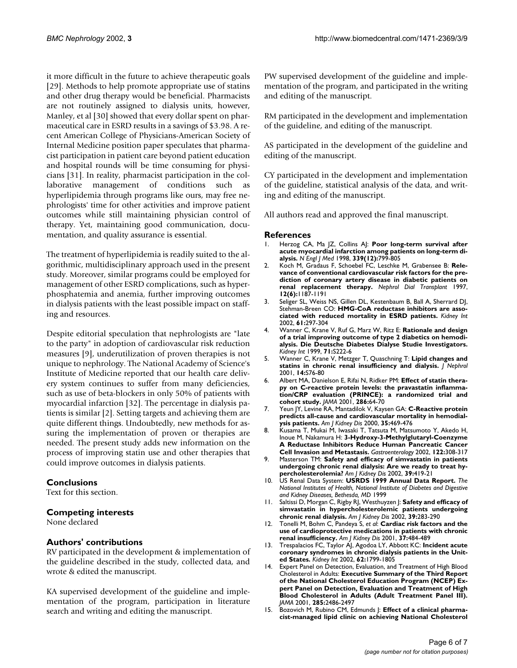it more difficult in the future to achieve therapeutic goals [29]. Methods to help promote appropriate use of statins and other drug therapy would be beneficial. Pharmacists are not routinely assigned to dialysis units, however, Manley, et al [30] showed that every dollar spent on pharmaceutical care in ESRD results in a savings of \$3.98. A recent American College of Physicians-American Society of Internal Medicine position paper speculates that pharmacist participation in patient care beyond patient education and hospital rounds will be time consuming for physicians [31]. In reality, pharmacist participation in the collaborative management of conditions such as hyperlipidemia through programs like ours, may free nephrologists' time for other activities and improve patient outcomes while still maintaining physician control of therapy. Yet, maintaining good communication, documentation, and quality assurance is essential.

The treatment of hyperlipidemia is readily suited to the algorithmic, multidisciplinary approach used in the present study. Moreover, similar programs could be employed for management of other ESRD complications, such as hyperphosphatemia and anemia, further improving outcomes in dialysis patients with the least possible impact on staffing and resources.

Despite editorial speculation that nephrologists are "late to the party" in adoption of cardiovascular risk reduction measures [9], underutilization of proven therapies is not unique to nephrology. The National Academy of Science's Institute of Medicine reported that our health care delivery system continues to suffer from many deficiencies, such as use of beta-blockers in only 50% of patients with myocardial infarction [32]. The percentage in dialysis patients is similar [2]. Setting targets and achieving them are quite different things. Undoubtedly, new methods for assuring the implementation of proven or therapies are needed. The present study adds new information on the process of improving statin use and other therapies that could improve outcomes in dialysis patients.

# **Conclusions**

Text for this section.

# **Competing interests**

None declared

# **Authors' contributions**

RV participated in the development & implementation of the guideline described in the study, collected data, and wrote & edited the manuscript.

KA supervised development of the guideline and implementation of the program, participation in literature search and writing and editing the manuscript.

PW supervised development of the guideline and implementation of the program, and participated in the writing and editing of the manuscript.

RM participated in the development and implementation of the guideline, and editing of the manuscript.

AS participated in the development of the guideline and editing of the manuscript.

CY participated in the development and implementation of the guideline, statistical analysis of the data, and writing and editing of the manuscript.

All authors read and approved the final manuscript.

#### **References**

- 1. [Herzog CA, Ma JZ, Collins AJ:](http://www.ncbi.nlm.nih.gov/entrez/query.fcgi?cmd=Retrieve&db=PubMed&dopt=Abstract&list_uids=9738087) **[Poor long-term survival after](http://www.ncbi.nlm.nih.gov/entrez/query.fcgi?cmd=Retrieve&db=PubMed&dopt=Abstract&list_uids=9738087) [acute myocardial infarction among patients on long-term di](http://www.ncbi.nlm.nih.gov/entrez/query.fcgi?cmd=Retrieve&db=PubMed&dopt=Abstract&list_uids=9738087)[alysis.](http://www.ncbi.nlm.nih.gov/entrez/query.fcgi?cmd=Retrieve&db=PubMed&dopt=Abstract&list_uids=9738087)** *N Engl J Med* 1998, **339(12):**799-805
- 2. [Koch M, Gradaus F, Schoebel FC, Leschke M, Grabensee B:](http://www.ncbi.nlm.nih.gov/entrez/query.fcgi?cmd=Retrieve&db=PubMed&dopt=Abstract&list_uids=9198049) **[Rele](http://www.ncbi.nlm.nih.gov/entrez/query.fcgi?cmd=Retrieve&db=PubMed&dopt=Abstract&list_uids=9198049)[vance of conventional cardiovascular risk factors for the pre](http://www.ncbi.nlm.nih.gov/entrez/query.fcgi?cmd=Retrieve&db=PubMed&dopt=Abstract&list_uids=9198049)diction of coronary artery disease in diabetic patients on [renal replacement therapy.](http://www.ncbi.nlm.nih.gov/entrez/query.fcgi?cmd=Retrieve&db=PubMed&dopt=Abstract&list_uids=9198049)** *Nephrol Dial Transplant* 1997, **12(6):**1187-1191
- 3. [Seliger SL, Weiss NS, Gillen DL, Kestenbaum B, Ball A, Sherrard DJ,](http://www.ncbi.nlm.nih.gov/entrez/query.fcgi?cmd=Retrieve&db=PubMed&dopt=Abstract&list_uids=11786112) [Stehman-Breen CO:](http://www.ncbi.nlm.nih.gov/entrez/query.fcgi?cmd=Retrieve&db=PubMed&dopt=Abstract&list_uids=11786112) **[HMG-CoA reductase inhibitors are asso](http://www.ncbi.nlm.nih.gov/entrez/query.fcgi?cmd=Retrieve&db=PubMed&dopt=Abstract&list_uids=11786112)[ciated with reduced mortality in ESRD patients.](http://www.ncbi.nlm.nih.gov/entrez/query.fcgi?cmd=Retrieve&db=PubMed&dopt=Abstract&list_uids=11786112)** *Kidney Int* 2002, **61:**297-304
- 4. [Wanner C, Krane V, Ruf G, Marz W, Ritz E:](http://www.ncbi.nlm.nih.gov/entrez/query.fcgi?cmd=Retrieve&db=PubMed&dopt=Abstract&list_uids=10412782) **[Rationale and design](http://www.ncbi.nlm.nih.gov/entrez/query.fcgi?cmd=Retrieve&db=PubMed&dopt=Abstract&list_uids=10412782) [of a trial improving outcome of type 2 diabetics on hemodi](http://www.ncbi.nlm.nih.gov/entrez/query.fcgi?cmd=Retrieve&db=PubMed&dopt=Abstract&list_uids=10412782)alysis. Die Deutsche Diabetes Dialyse Studie Investigators.** *Kidney Int* 1999, **71:**S222-6
- 5. [Wanner C, Krane V, Metzger T, Quaschning T:](http://www.ncbi.nlm.nih.gov/entrez/query.fcgi?cmd=Retrieve&db=PubMed&dopt=Abstract&list_uids=11798151) **[Lipid changes and](http://www.ncbi.nlm.nih.gov/entrez/query.fcgi?cmd=Retrieve&db=PubMed&dopt=Abstract&list_uids=11798151) [statins in chronic renal insufficiency and dialysis.](http://www.ncbi.nlm.nih.gov/entrez/query.fcgi?cmd=Retrieve&db=PubMed&dopt=Abstract&list_uids=11798151)** *J Nephrol* 2001, **14:**S76-80
- 6. [Albert MA, Danielson E, Rifai N, Ridker PM:](http://www.ncbi.nlm.nih.gov/entrez/query.fcgi?cmd=Retrieve&db=PubMed&dopt=Abstract&list_uids=11434828) **[Effect of statin thera](http://www.ncbi.nlm.nih.gov/entrez/query.fcgi?cmd=Retrieve&db=PubMed&dopt=Abstract&list_uids=11434828)py on C-reactive protein levels: the pravastatin inflamma[tion/CRP evaluation \(PRINCE\): a randomized trial and](http://www.ncbi.nlm.nih.gov/entrez/query.fcgi?cmd=Retrieve&db=PubMed&dopt=Abstract&list_uids=11434828) [cohort study.](http://www.ncbi.nlm.nih.gov/entrez/query.fcgi?cmd=Retrieve&db=PubMed&dopt=Abstract&list_uids=11434828)** *JAMA* 2001, **286:**64-70
- 7. [Yeun JY, Levine RA, Mantadilok V, Kaysen GA:](http://www.ncbi.nlm.nih.gov/entrez/query.fcgi?cmd=Retrieve&db=PubMed&dopt=Abstract&list_uids=10692273) **[C-Reactive protein](http://www.ncbi.nlm.nih.gov/entrez/query.fcgi?cmd=Retrieve&db=PubMed&dopt=Abstract&list_uids=10692273) [predicts all-cause and cardiovascular mortality in hemodial](http://www.ncbi.nlm.nih.gov/entrez/query.fcgi?cmd=Retrieve&db=PubMed&dopt=Abstract&list_uids=10692273)[ysis patients.](http://www.ncbi.nlm.nih.gov/entrez/query.fcgi?cmd=Retrieve&db=PubMed&dopt=Abstract&list_uids=10692273)** *Am J Kidney Dis* 2000, **35:**469-476
- 8. [Kusama T, Mukai M, Iwasaki T, Tatsuta M, Matsumoto Y, Akedo H,](http://www.ncbi.nlm.nih.gov/entrez/query.fcgi?cmd=Retrieve&db=PubMed&dopt=Abstract&list_uids=11832446) [Inoue M, Nakamura H:](http://www.ncbi.nlm.nih.gov/entrez/query.fcgi?cmd=Retrieve&db=PubMed&dopt=Abstract&list_uids=11832446) **[3-Hydroxy-3-Methylglutaryl-Coenzyme](http://www.ncbi.nlm.nih.gov/entrez/query.fcgi?cmd=Retrieve&db=PubMed&dopt=Abstract&list_uids=11832446) [A Reductase Inhibitors Reduce Human Pancreatic Cancer](http://www.ncbi.nlm.nih.gov/entrez/query.fcgi?cmd=Retrieve&db=PubMed&dopt=Abstract&list_uids=11832446) [Cell Invasion and Metastasis.](http://www.ncbi.nlm.nih.gov/entrez/query.fcgi?cmd=Retrieve&db=PubMed&dopt=Abstract&list_uids=11832446)** *Gastroenterology* 2002, **122:**308-317
- 9. [Masterson TM:](http://www.ncbi.nlm.nih.gov/entrez/query.fcgi?cmd=Retrieve&db=PubMed&dopt=Abstract&list_uids=11840386) **[Safety and efficacy of simvastatin in patients](http://www.ncbi.nlm.nih.gov/entrez/query.fcgi?cmd=Retrieve&db=PubMed&dopt=Abstract&list_uids=11840386) [undergoing chronic renal dialysis: Are we ready to treat hy](http://www.ncbi.nlm.nih.gov/entrez/query.fcgi?cmd=Retrieve&db=PubMed&dopt=Abstract&list_uids=11840386)[percholesterolemia?](http://www.ncbi.nlm.nih.gov/entrez/query.fcgi?cmd=Retrieve&db=PubMed&dopt=Abstract&list_uids=11840386)** *Am J Kidney Dis* 2002, **39:**419-21
- 10. US Renal Data System: **USRDS 1999 Annual Data Report.** *The National Institutes of Health, National Institute of Diabetes and Digestive and Kidney Diseases, Bethesda, MD* 1999
- 11. [Saltissi D, Morgan C, Rigby RJ, Westhuyzen J:](http://www.ncbi.nlm.nih.gov/entrez/query.fcgi?cmd=Retrieve&db=PubMed&dopt=Abstract&list_uids=11840368) **[Safety and efficacy of](http://www.ncbi.nlm.nih.gov/entrez/query.fcgi?cmd=Retrieve&db=PubMed&dopt=Abstract&list_uids=11840368) [simvastatin in hypercholesterolemic patients undergoing](http://www.ncbi.nlm.nih.gov/entrez/query.fcgi?cmd=Retrieve&db=PubMed&dopt=Abstract&list_uids=11840368) [chronic renal dialysis.](http://www.ncbi.nlm.nih.gov/entrez/query.fcgi?cmd=Retrieve&db=PubMed&dopt=Abstract&list_uids=11840368)** *Am J Kidney Dis* 2002, **39:**283-290
- 12. [Tonelli M, Bohm C, Pandeya S,](http://www.ncbi.nlm.nih.gov/entrez/query.fcgi?cmd=Retrieve&db=PubMed&dopt=Abstract&list_uids=11228171) *et al*: **[Cardiac risk factors and the](http://www.ncbi.nlm.nih.gov/entrez/query.fcgi?cmd=Retrieve&db=PubMed&dopt=Abstract&list_uids=11228171) [use of cardioprotective medications in patients with chronic](http://www.ncbi.nlm.nih.gov/entrez/query.fcgi?cmd=Retrieve&db=PubMed&dopt=Abstract&list_uids=11228171) [renal insufficiency.](http://www.ncbi.nlm.nih.gov/entrez/query.fcgi?cmd=Retrieve&db=PubMed&dopt=Abstract&list_uids=11228171)** *Am J Kidney Dis* 2001, **37:**484-489
- 13. [Trespalacios FC, Taylor AJ, Agodoa LY, Abbott KC:](http://www.ncbi.nlm.nih.gov/entrez/query.fcgi?cmd=Retrieve&db=PubMed&dopt=Abstract&list_uids=12371982) **[Incident acute](http://www.ncbi.nlm.nih.gov/entrez/query.fcgi?cmd=Retrieve&db=PubMed&dopt=Abstract&list_uids=12371982) [coronary syndromes in chronic dialysis patients in the Unit](http://www.ncbi.nlm.nih.gov/entrez/query.fcgi?cmd=Retrieve&db=PubMed&dopt=Abstract&list_uids=12371982)[ed States.](http://www.ncbi.nlm.nih.gov/entrez/query.fcgi?cmd=Retrieve&db=PubMed&dopt=Abstract&list_uids=12371982)** *Kidney Int* 2002, **62:**1799-1805
- 14. [Expert Panel on Detection, Evaluation, and Treatment of High Blood](http://www.ncbi.nlm.nih.gov/entrez/query.fcgi?cmd=Retrieve&db=PubMed&dopt=Abstract&list_uids=11368702) [Cholesterol in Adults:](http://www.ncbi.nlm.nih.gov/entrez/query.fcgi?cmd=Retrieve&db=PubMed&dopt=Abstract&list_uids=11368702) **[Executive Summary of the Third Report](http://www.ncbi.nlm.nih.gov/entrez/query.fcgi?cmd=Retrieve&db=PubMed&dopt=Abstract&list_uids=11368702) [of the National Cholesterol Education Program \(NCEP\) Ex](http://www.ncbi.nlm.nih.gov/entrez/query.fcgi?cmd=Retrieve&db=PubMed&dopt=Abstract&list_uids=11368702)pert Panel on Detection, Evaluation and Treatment of High Blood Cholesterol in Adults (Adult Treatment Panel III).** *JAMA* 2001, **285:**2486-2497
- 15. [Bozovich M, Rubino CM, Edmunds J:](http://www.ncbi.nlm.nih.gov/entrez/query.fcgi?cmd=Retrieve&db=PubMed&dopt=Abstract&list_uids=11079286) **[Effect of a clinical pharma](http://www.ncbi.nlm.nih.gov/entrez/query.fcgi?cmd=Retrieve&db=PubMed&dopt=Abstract&list_uids=11079286)[cist-managed lipid clinic on achieving National Cholesterol](http://www.ncbi.nlm.nih.gov/entrez/query.fcgi?cmd=Retrieve&db=PubMed&dopt=Abstract&list_uids=11079286)**